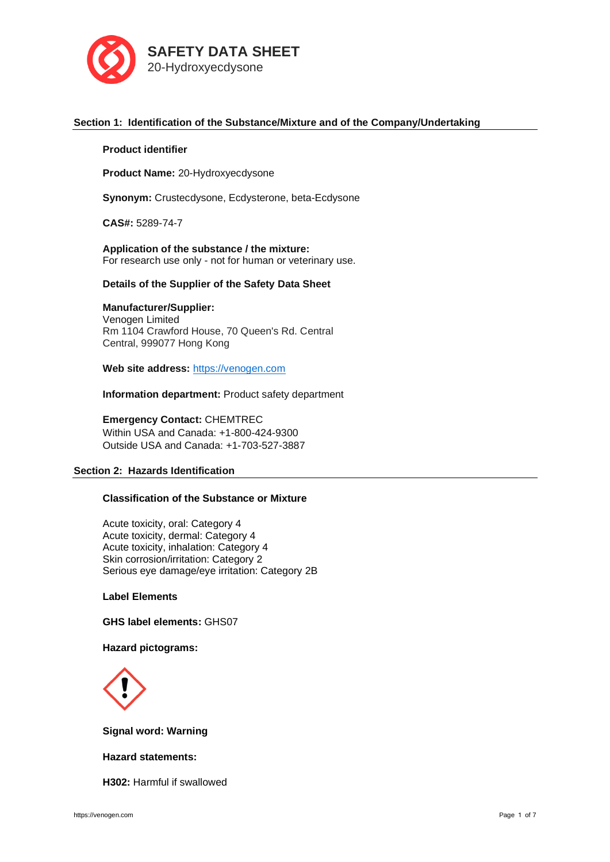

# **Section 1: Identification of the Substance/Mixture and of the Company/Undertaking**

## **Product identifier**

**Product Name:** 20-Hydroxyecdysone

**Synonym:** Crustecdysone, Ecdysterone, beta-Ecdysone

**CAS#:** 5289-74-7

**Application of the substance / the mixture:** For research use only - not for human or veterinary use.

## **Details of the Supplier of the Safety Data Sheet**

# **Manufacturer/Supplier:**

Venogen Limited Rm 1104 Crawford House, 70 Queen's Rd. Central Central, 999077 Hong Kong

**Web site address:** [https://venogen.com](https://venogen.com/)

**Information department:** Product safety department

**Emergency Contact:** CHEMTREC Within USA and Canada: +1-800-424-9300 Outside USA and Canada: +1-703-527-3887

## **Section 2: Hazards Identification**

# **Classification of the Substance or Mixture**

Acute toxicity, oral: Category 4 Acute toxicity, dermal: Category 4 Acute toxicity, inhalation: Category 4 Skin corrosion/irritation: Category 2 Serious eye damage/eye irritation: Category 2B

# **Label Elements**

**GHS label elements:** GHS07

# **Hazard pictograms:**



# **Signal word: Warning**

# **Hazard statements:**

**H302:** Harmful if swallowed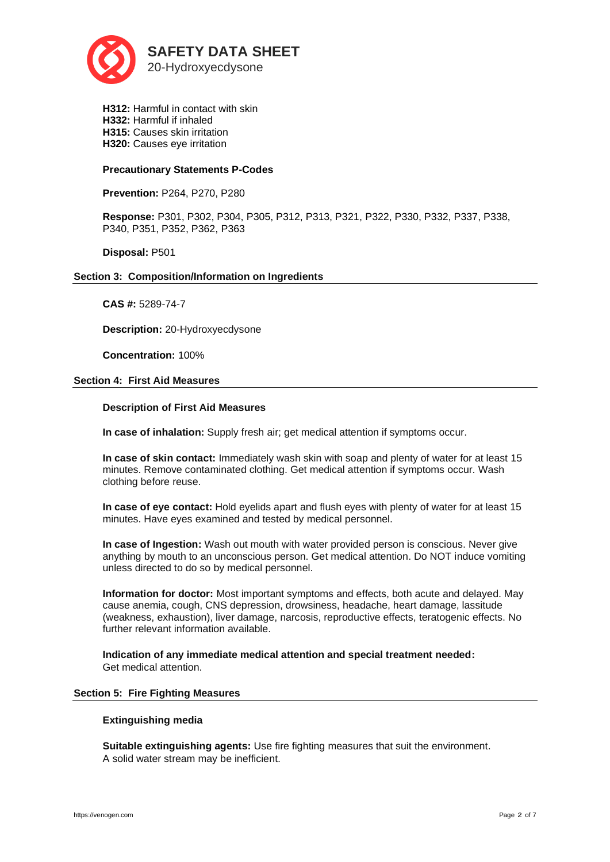

**H312:** Harmful in contact with skin **H332:** Harmful if inhaled **H315:** Causes skin irritation **H320:** Causes eye irritation

# **Precautionary Statements P-Codes**

**Prevention:** P264, P270, P280

**Response:** P301, P302, P304, P305, P312, P313, P321, P322, P330, P332, P337, P338, P340, P351, P352, P362, P363

**Disposal:** P501

# **Section 3: Composition/Information on Ingredients**

**CAS #:** 5289-74-7

**Description:** 20-Hydroxyecdysone

**Concentration:** 100%

## **Section 4: First Aid Measures**

## **Description of First Aid Measures**

**In case of inhalation:** Supply fresh air; get medical attention if symptoms occur.

**In case of skin contact:** Immediately wash skin with soap and plenty of water for at least 15 minutes. Remove contaminated clothing. Get medical attention if symptoms occur. Wash clothing before reuse.

**In case of eye contact:** Hold eyelids apart and flush eyes with plenty of water for at least 15 minutes. Have eyes examined and tested by medical personnel.

**In case of Ingestion:** Wash out mouth with water provided person is conscious. Never give anything by mouth to an unconscious person. Get medical attention. Do NOT induce vomiting unless directed to do so by medical personnel.

**Information for doctor:** Most important symptoms and effects, both acute and delayed. May cause anemia, cough, CNS depression, drowsiness, headache, heart damage, lassitude (weakness, exhaustion), liver damage, narcosis, reproductive effects, teratogenic effects. No further relevant information available.

**Indication of any immediate medical attention and special treatment needed:**  Get medical attention.

#### **Section 5: Fire Fighting Measures**

## **Extinguishing media**

**Suitable extinguishing agents:** Use fire fighting measures that suit the environment. A solid water stream may be inefficient.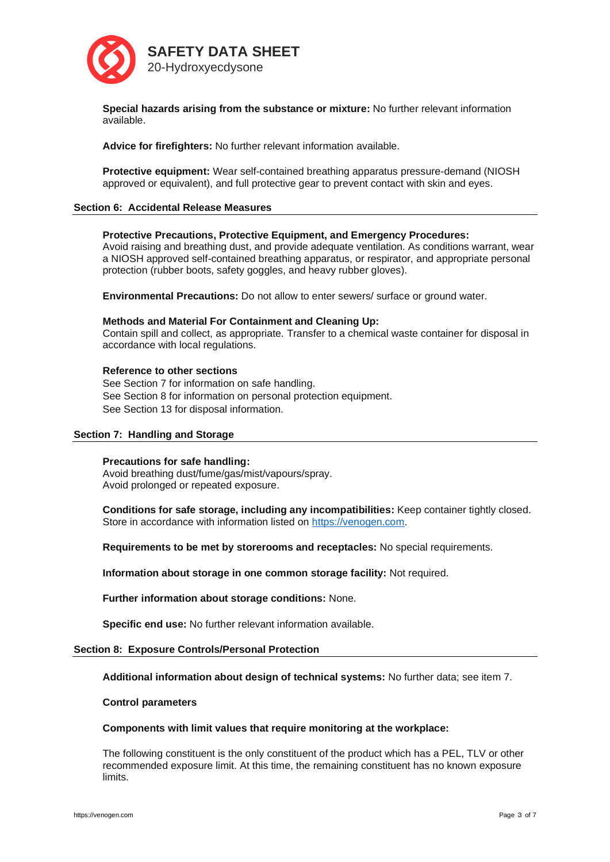

**Special hazards arising from the substance or mixture:** No further relevant information available.

**Advice for firefighters:** No further relevant information available.

**Protective equipment:** Wear self-contained breathing apparatus pressure-demand (NIOSH approved or equivalent), and full protective gear to prevent contact with skin and eyes.

## **Section 6: Accidental Release Measures**

## **Protective Precautions, Protective Equipment, and Emergency Procedures:**

Avoid raising and breathing dust, and provide adequate ventilation. As conditions warrant, wear a NIOSH approved self-contained breathing apparatus, or respirator, and appropriate personal protection (rubber boots, safety goggles, and heavy rubber gloves).

**Environmental Precautions:** Do not allow to enter sewers/ surface or ground water.

#### **Methods and Material For Containment and Cleaning Up:**

Contain spill and collect, as appropriate. Transfer to a chemical waste container for disposal in accordance with local regulations.

### **Reference to other sections**

See Section 7 for information on safe handling. See Section 8 for information on personal protection equipment. See Section 13 for disposal information.

#### **Section 7: Handling and Storage**

#### **Precautions for safe handling:**

Avoid breathing dust/fume/gas/mist/vapours/spray. Avoid prolonged or repeated exposure.

**Conditions for safe storage, including any incompatibilities:** Keep container tightly closed. Store in accordance with information listed on [https://venogen.com.](https://venogen.com/)

**Requirements to be met by storerooms and receptacles:** No special requirements.

**Information about storage in one common storage facility:** Not required.

**Further information about storage conditions:** None.

**Specific end use:** No further relevant information available.

#### **Section 8: Exposure Controls/Personal Protection**

**Additional information about design of technical systems:** No further data; see item 7.

## **Control parameters**

#### **Components with limit values that require monitoring at the workplace:**

The following constituent is the only constituent of the product which has a PEL, TLV or other recommended exposure limit. At this time, the remaining constituent has no known exposure limits.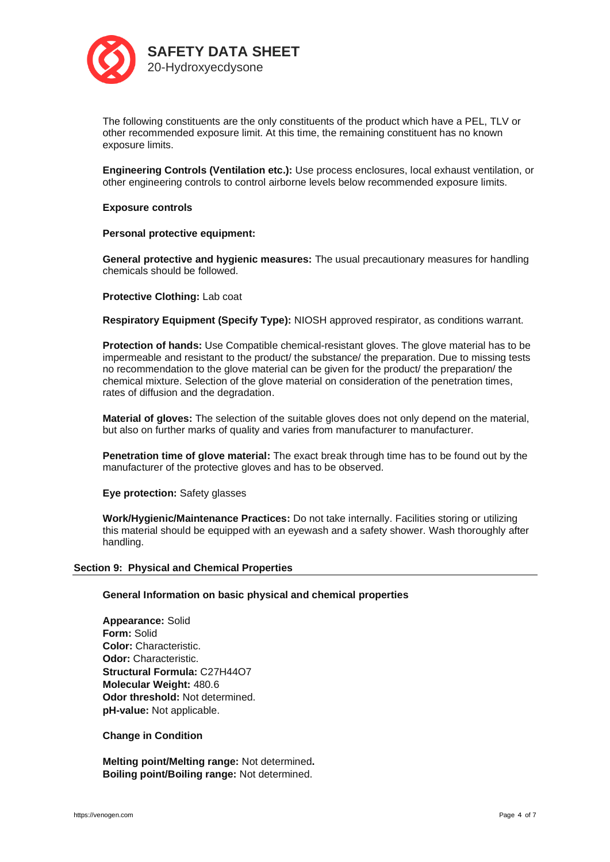

The following constituents are the only constituents of the product which have a PEL, TLV or other recommended exposure limit. At this time, the remaining constituent has no known exposure limits.

**Engineering Controls (Ventilation etc.):** Use process enclosures, local exhaust ventilation, or other engineering controls to control airborne levels below recommended exposure limits.

# **Exposure controls**

## **Personal protective equipment:**

**General protective and hygienic measures:** The usual precautionary measures for handling chemicals should be followed.

## **Protective Clothing:** Lab coat

**Respiratory Equipment (Specify Type):** NIOSH approved respirator, as conditions warrant.

**Protection of hands:** Use Compatible chemical-resistant gloves. The glove material has to be impermeable and resistant to the product/ the substance/ the preparation. Due to missing tests no recommendation to the glove material can be given for the product/ the preparation/ the chemical mixture. Selection of the glove material on consideration of the penetration times, rates of diffusion and the degradation.

**Material of gloves:** The selection of the suitable gloves does not only depend on the material, but also on further marks of quality and varies from manufacturer to manufacturer.

**Penetration time of glove material:** The exact break through time has to be found out by the manufacturer of the protective gloves and has to be observed.

**Eye protection:** Safety glasses

**Work/Hygienic/Maintenance Practices:** Do not take internally. Facilities storing or utilizing this material should be equipped with an eyewash and a safety shower. Wash thoroughly after handling.

#### **Section 9: Physical and Chemical Properties**

#### **General Information on basic physical and chemical properties**

**Appearance:** Solid **Form:** Solid **Color:** Characteristic. **Odor:** Characteristic. **Structural Formula:** C27H44O7 **Molecular Weight:** 480.6 **Odor threshold:** Not determined. **pH-value:** Not applicable.

### **Change in Condition**

**Melting point/Melting range:** Not determined**. Boiling point/Boiling range:** Not determined.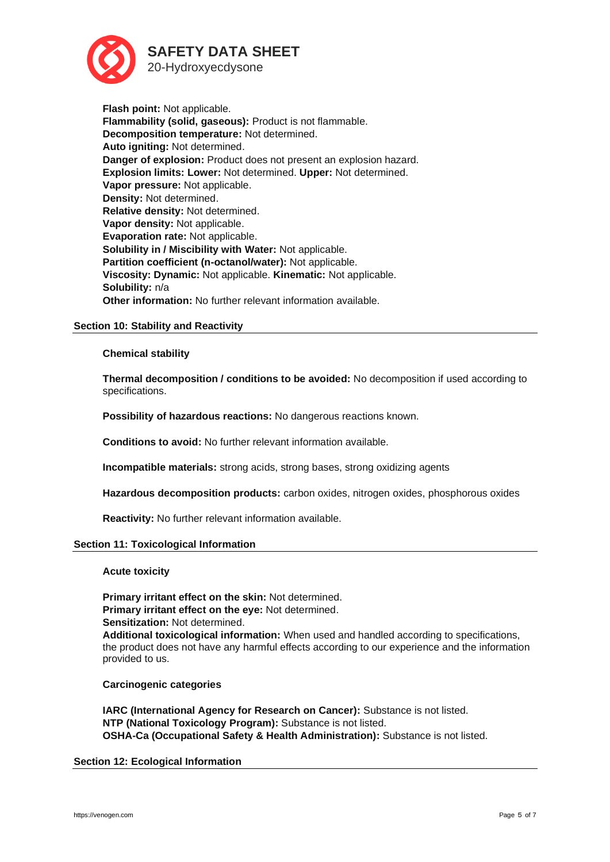

**Flash point:** Not applicable. **Flammability (solid, gaseous):** Product is not flammable. **Decomposition temperature:** Not determined. **Auto igniting:** Not determined. **Danger of explosion:** Product does not present an explosion hazard. **Explosion limits: Lower:** Not determined. **Upper:** Not determined. **Vapor pressure:** Not applicable. **Density:** Not determined. **Relative density:** Not determined. **Vapor density:** Not applicable. **Evaporation rate:** Not applicable. **Solubility in / Miscibility with Water:** Not applicable. **Partition coefficient (n-octanol/water):** Not applicable. **Viscosity: Dynamic:** Not applicable. **Kinematic:** Not applicable. **Solubility:** n/a **Other information:** No further relevant information available.

# **Section 10: Stability and Reactivity**

# **Chemical stability**

**Thermal decomposition / conditions to be avoided:** No decomposition if used according to specifications.

**Possibility of hazardous reactions:** No dangerous reactions known.

**Conditions to avoid:** No further relevant information available.

**Incompatible materials:** strong acids, strong bases, strong oxidizing agents

**Hazardous decomposition products:** carbon oxides, nitrogen oxides, phosphorous oxides

**Reactivity:** No further relevant information available.

# **Section 11: Toxicological Information**

#### **Acute toxicity**

**Primary irritant effect on the skin:** Not determined. **Primary irritant effect on the eye:** Not determined. **Sensitization:** Not determined. **Additional toxicological information:** When used and handled according to specifications, the product does not have any harmful effects according to our experience and the information provided to us.

#### **Carcinogenic categories**

**IARC (International Agency for Research on Cancer):** Substance is not listed. **NTP (National Toxicology Program):** Substance is not listed. **OSHA-Ca (Occupational Safety & Health Administration):** Substance is not listed.

# **Section 12: Ecological Information**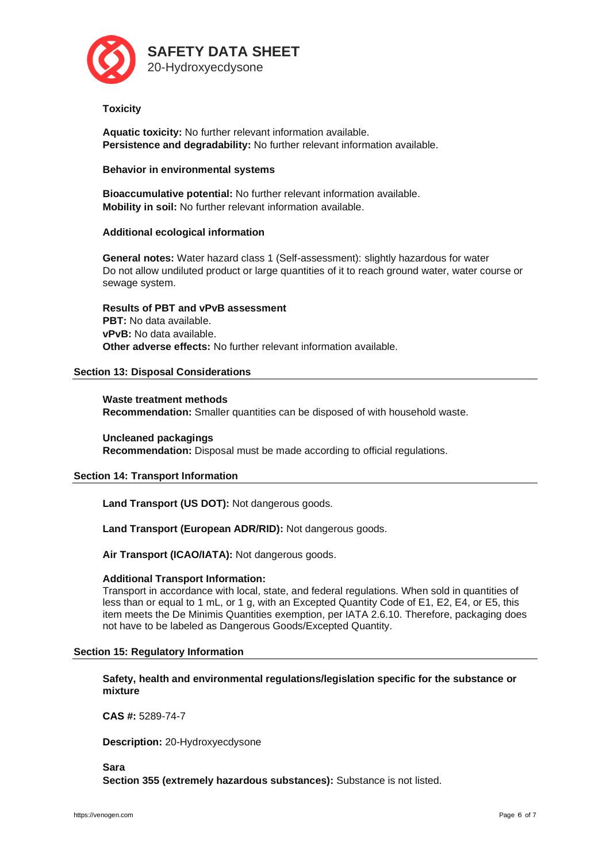

# **Toxicity**

**Aquatic toxicity:** No further relevant information available. **Persistence and degradability:** No further relevant information available.

# **Behavior in environmental systems**

**Bioaccumulative potential:** No further relevant information available. **Mobility in soil:** No further relevant information available.

# **Additional ecological information**

**General notes:** Water hazard class 1 (Self-assessment): slightly hazardous for water Do not allow undiluted product or large quantities of it to reach ground water, water course or sewage system.

**Results of PBT and vPvB assessment PBT:** No data available. **vPvB:** No data available. **Other adverse effects:** No further relevant information available.

# **Section 13: Disposal Considerations**

**Waste treatment methods Recommendation:** Smaller quantities can be disposed of with household waste.

**Uncleaned packagings Recommendation:** Disposal must be made according to official regulations.

# **Section 14: Transport Information**

**Land Transport (US DOT):** Not dangerous goods.

**Land Transport (European ADR/RID):** Not dangerous goods.

**Air Transport (ICAO/IATA):** Not dangerous goods.

# **Additional Transport Information:**

Transport in accordance with local, state, and federal regulations. When sold in quantities of less than or equal to 1 mL, or 1 g, with an Excepted Quantity Code of E1, E2, E4, or E5, this item meets the De Minimis Quantities exemption, per IATA 2.6.10. Therefore, packaging does not have to be labeled as Dangerous Goods/Excepted Quantity.

# **Section 15: Regulatory Information**

**Safety, health and environmental regulations/legislation specific for the substance or mixture**

**CAS #:** 5289-74-7

**Description:** 20-Hydroxyecdysone

**Sara Section 355 (extremely hazardous substances):** Substance is not listed.